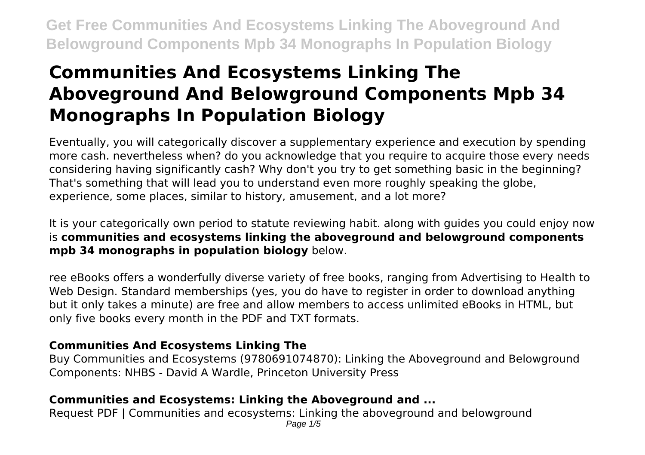# **Communities And Ecosystems Linking The Aboveground And Belowground Components Mpb 34 Monographs In Population Biology**

Eventually, you will categorically discover a supplementary experience and execution by spending more cash. nevertheless when? do you acknowledge that you require to acquire those every needs considering having significantly cash? Why don't you try to get something basic in the beginning? That's something that will lead you to understand even more roughly speaking the globe, experience, some places, similar to history, amusement, and a lot more?

It is your categorically own period to statute reviewing habit. along with guides you could enjoy now is **communities and ecosystems linking the aboveground and belowground components mpb 34 monographs in population biology** below.

ree eBooks offers a wonderfully diverse variety of free books, ranging from Advertising to Health to Web Design. Standard memberships (yes, you do have to register in order to download anything but it only takes a minute) are free and allow members to access unlimited eBooks in HTML, but only five books every month in the PDF and TXT formats.

# **Communities And Ecosystems Linking The**

Buy Communities and Ecosystems (9780691074870): Linking the Aboveground and Belowground Components: NHBS - David A Wardle, Princeton University Press

# **Communities and Ecosystems: Linking the Aboveground and ...**

Request PDF | Communities and ecosystems: Linking the aboveground and belowground Page  $1/5$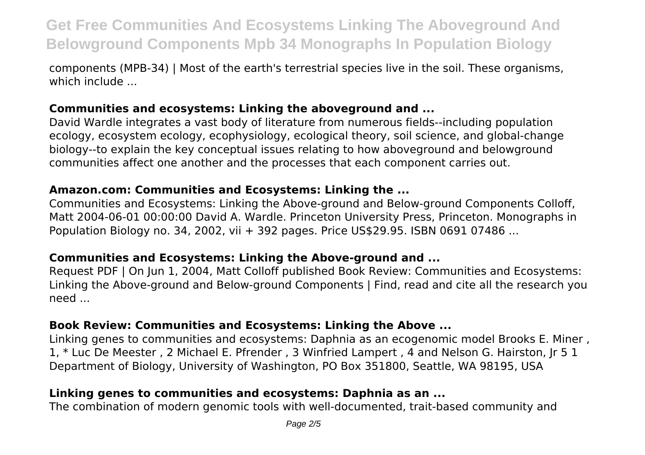components (MPB-34) | Most of the earth's terrestrial species live in the soil. These organisms, which include ...

# **Communities and ecosystems: Linking the aboveground and ...**

David Wardle integrates a vast body of literature from numerous fields--including population ecology, ecosystem ecology, ecophysiology, ecological theory, soil science, and global-change biology--to explain the key conceptual issues relating to how aboveground and belowground communities affect one another and the processes that each component carries out.

#### **Amazon.com: Communities and Ecosystems: Linking the ...**

Communities and Ecosystems: Linking the Above‐ground and Below‐ground Components Colloff, Matt 2004-06-01 00:00:00 David A. Wardle. Princeton University Press, Princeton. Monographs in Population Biology no. 34, 2002, vii + 392 pages. Price US\$29.95. ISBN 0691 07486 ...

#### **Communities and Ecosystems: Linking the Above‐ground and ...**

Request PDF | On Jun 1, 2004, Matt Colloff published Book Review: Communities and Ecosystems: Linking the Above-ground and Below-ground Components | Find, read and cite all the research you need ...

#### **Book Review: Communities and Ecosystems: Linking the Above ...**

Linking genes to communities and ecosystems: Daphnia as an ecogenomic model Brooks E. Miner , 1, \* Luc De Meester , 2 Michael E. Pfrender , 3 Winfried Lampert , 4 and Nelson G. Hairston, Jr 5 1 Department of Biology, University of Washington, PO Box 351800, Seattle, WA 98195, USA

# **Linking genes to communities and ecosystems: Daphnia as an ...**

The combination of modern genomic tools with well-documented, trait-based community and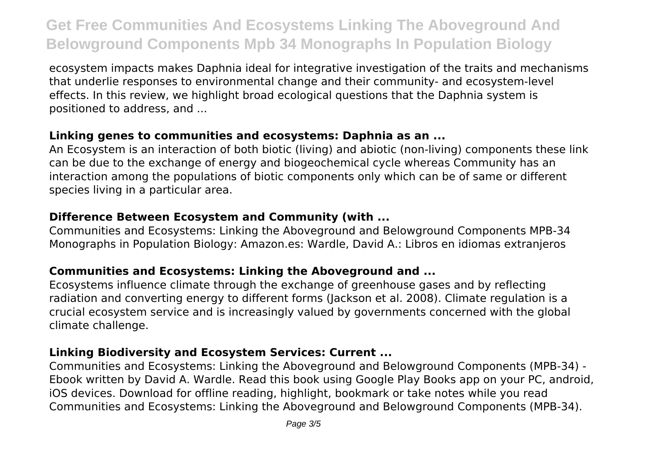ecosystem impacts makes Daphnia ideal for integrative investigation of the traits and mechanisms that underlie responses to environmental change and their community- and ecosystem-level effects. In this review, we highlight broad ecological questions that the Daphnia system is positioned to address, and ...

### **Linking genes to communities and ecosystems: Daphnia as an ...**

An Ecosystem is an interaction of both biotic (living) and abiotic (non-living) components these link can be due to the exchange of energy and biogeochemical cycle whereas Community has an interaction among the populations of biotic components only which can be of same or different species living in a particular area.

# **Difference Between Ecosystem and Community (with ...**

Communities and Ecosystems: Linking the Aboveground and Belowground Components MPB-34 Monographs in Population Biology: Amazon.es: Wardle, David A.: Libros en idiomas extranjeros

# **Communities and Ecosystems: Linking the Aboveground and ...**

Ecosystems influence climate through the exchange of greenhouse gases and by reflecting radiation and converting energy to different forms (Jackson et al. 2008). Climate regulation is a crucial ecosystem service and is increasingly valued by governments concerned with the global climate challenge.

# **Linking Biodiversity and Ecosystem Services: Current ...**

Communities and Ecosystems: Linking the Aboveground and Belowground Components (MPB-34) - Ebook written by David A. Wardle. Read this book using Google Play Books app on your PC, android, iOS devices. Download for offline reading, highlight, bookmark or take notes while you read Communities and Ecosystems: Linking the Aboveground and Belowground Components (MPB-34).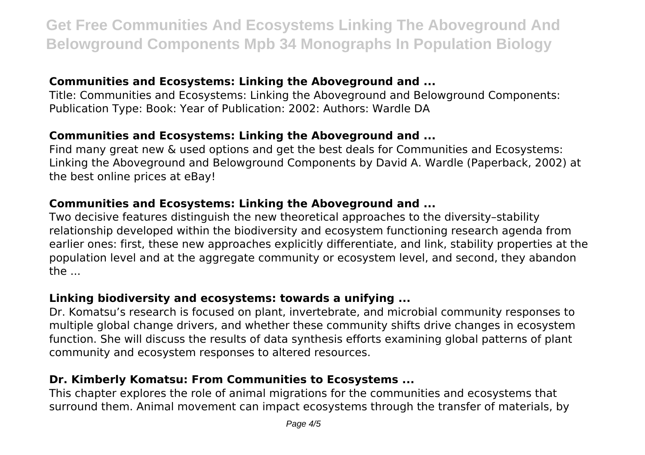### **Communities and Ecosystems: Linking the Aboveground and ...**

Title: Communities and Ecosystems: Linking the Aboveground and Belowground Components: Publication Type: Book: Year of Publication: 2002: Authors: Wardle DA

# **Communities and Ecosystems: Linking the Aboveground and ...**

Find many great new & used options and get the best deals for Communities and Ecosystems: Linking the Aboveground and Belowground Components by David A. Wardle (Paperback, 2002) at the best online prices at eBay!

### **Communities and Ecosystems: Linking the Aboveground and ...**

Two decisive features distinguish the new theoretical approaches to the diversity–stability relationship developed within the biodiversity and ecosystem functioning research agenda from earlier ones: first, these new approaches explicitly differentiate, and link, stability properties at the population level and at the aggregate community or ecosystem level, and second, they abandon the ...

#### **Linking biodiversity and ecosystems: towards a unifying ...**

Dr. Komatsu's research is focused on plant, invertebrate, and microbial community responses to multiple global change drivers, and whether these community shifts drive changes in ecosystem function. She will discuss the results of data synthesis efforts examining global patterns of plant community and ecosystem responses to altered resources.

# **Dr. Kimberly Komatsu: From Communities to Ecosystems ...**

This chapter explores the role of animal migrations for the communities and ecosystems that surround them. Animal movement can impact ecosystems through the transfer of materials, by